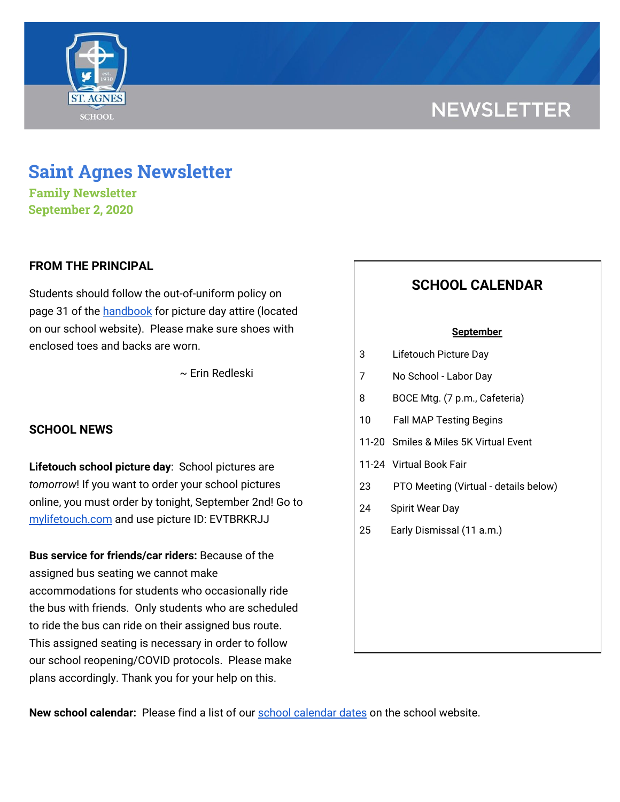

# **NEWSLETTER**

## **Saint Agnes Newsletter**

**Family Newsletter September 2, 2020**

### **FROM THE PRINCIPAL**

Students should follow the out-of-uniform policy on page 31 of the [handbook](https://school.saintagnes.com/wp-content/uploads/2020/09/Parent-Student-Handbook-2020-21.pdf) for picture day attire (located on our school website). Please make sure shoes with enclosed toes and backs are worn.

~ Erin Redleski

### **SCHOOL NEWS**

**Lifetouch school picture day**: School pictures are *tomorrow*! If you want to order your school pictures online, you must order by tonight, September 2nd! Go to [mylifetouch.com](https://www.mylifetouch.com/) and use picture ID: EVTBRKRJJ

**Bus service for friends/car riders:** Because of the assigned bus seating we cannot make accommodations for students who occasionally ride the bus with friends. Only students who are scheduled to ride the bus can ride on their assigned bus route. This assigned seating is necessary in order to follow our school reopening/COVID protocols. Please make plans accordingly. Thank you for your help on this.

## **SCHOOL CALENDAR**

#### **September**

| 3 | Lifetouch Picture Day |
|---|-----------------------|
|---|-----------------------|

- 7 No School Labor Day
- 8 BOCE Mtg. (7 p.m., Cafeteria)
- 10 Fall MAP Testing Begins
- 11-20 Smiles & Miles 5K Virtual Event
- 11-24 Virtual Book Fair
- 23 PTO Meeting (Virtual details below)
- 24 Spirit Wear Day
- 25 Early Dismissal (11 a.m.)

**New school calendar:** Please find a list of our school [calendar](https://school.saintagnes.com/wp-content/uploads/2020/09/2020-2021-School-Calendar-Parents.pdf) dates on the school website.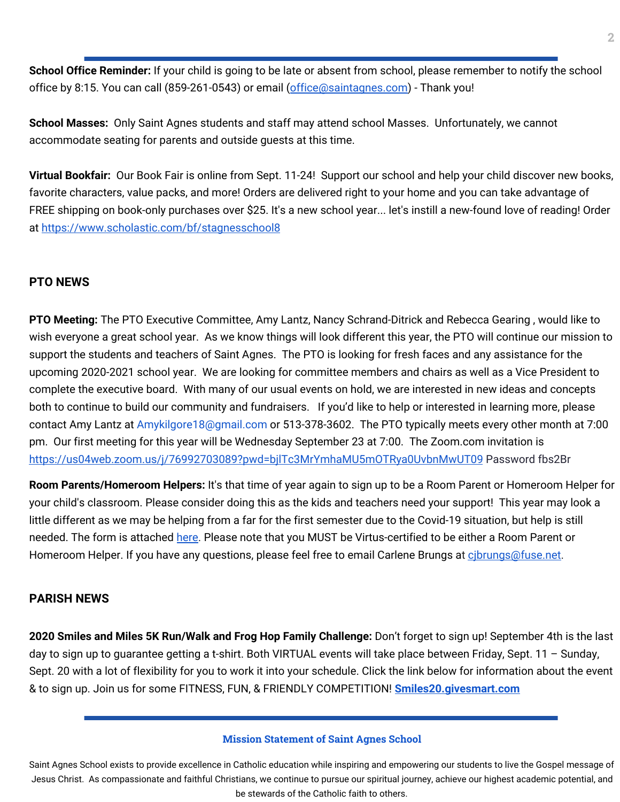**School Office Reminder:** If your child is going to be late or absent from school, please remember to notify the school office by 8:15. You can call (859-261-0543) or email [\(office@saintagnes.com\)](mailto:office@saintagnes.com) - Thank you!

**School Masses:** Only Saint Agnes students and staff may attend school Masses. Unfortunately, we cannot accommodate seating for parents and outside guests at this time.

**Virtual Bookfair:** Our Book Fair is online from Sept. 11-24! Support our school and help your child discover new books, favorite characters, value packs, and more! Orders are delivered right to your home and you can take advantage of FREE shipping on book-only purchases over \$25. It's a new school year... let's instill a new-found love of reading! Order at <https://www.scholastic.com/bf/stagnesschool8>

## **PTO NEWS**

**PTO Meeting:** The PTO Executive Committee, Amy Lantz, Nancy Schrand-Ditrick and Rebecca Gearing , would like to wish everyone a great school year. As we know things will look different this year, the PTO will continue our mission to support the students and teachers of Saint Agnes. The PTO is looking for fresh faces and any assistance for the upcoming 2020-2021 school year. We are looking for committee members and chairs as well as a Vice President to complete the executive board. With many of our usual events on hold, we are interested in new ideas and concepts both to continue to build our community and fundraisers. If you'd like to help or interested in learning more, please contact Amy Lantz at Amykilgore18@gmail.com or 513-378-3602. The PTO typically meets every other month at 7:00 pm. Our first meeting for this year will be Wednesday September 23 at 7:00. The Zoom.com invitation is <https://us04web.zoom.us/j/76992703089?pwd=bjlTc3MrYmhaMU5mOTRya0UvbnMwUT09> Password fbs2Br

**Room Parents/Homeroom Helpers:** It's that time of year again to sign up to be a Room Parent or Homeroom Helper for your child's classroom. Please consider doing this as the kids and teachers need your support! This year may look a little different as we may be helping from a far for the first semester due to the Covid-19 situation, but help is still needed. The form is attached [here.](https://school.saintagnes.com/wp-content/uploads/2020/09/Room-Parent-Signup-2020-21-Final.pdf) Please note that you MUST be Virtus-certified to be either a Room Parent or Homeroom Helper. If you have any questions, please feel free to email Carlene Brungs at cibrungs@fuse.net.

### **PARISH NEWS**

**2020 Smiles and Miles 5K Run/Walk and Frog Hop Family Challenge:** Don't forget to sign up! September 4th is the last day to sign up to guarantee getting a t-shirt. Both VIRTUAL events will take place between Friday, Sept. 11 – Sunday, Sept. 20 with a lot of flexibility for you to work it into your schedule. Click the link below for information about the event & to sign up. Join us for some FITNESS, FUN, & FRIENDLY COMPETITION! **[Smiles20.givesmart.com](https://l.facebook.com/l.php?u=http%3A%2F%2Fsmiles20.givesmart.com%2F%3Ffbclid%3DIwAR0BNF_Ph9vvqu8nj8qXiE25_KlwCBQ-AsIirw2D_MJzpKNjNRBb_l7JGHY&h=AT1c3cI-YE6FMM-8cLnAYBW7dMGnnGqZ5Wm2RBxMOYbY90XqMtCk-NFs9z7h5yg5yfPz-5T9lIyiXhW2BSPtZ9QesXCtHDSIcowZ0yh0wNCt1f80qxBoL3JXb0mkDgx2RAKz&__tn__=-UK-R&c[0]=AT3KtYJxVm-8VrfAtfrsRHAKnM_StFhzIxBdgB8fRS4Jn9B0udzdDi-4h2rf8zI1GIXnLsXAk8D295-Rv_OEPwGgofBWqaKe-LlvNU6W3EqDWYwn6hX4Mm8mNRocstF_3-LlUsyhlN3kFNygKN2_tgdqgB1qHMCViuXBMJXfG2p8dogoW5oegg)**

#### **Mission Statement of Saint Agnes School**

Saint Agnes School exists to provide excellence in Catholic education while inspiring and empowering our students to live the Gospel message of Jesus Christ. As compassionate and faithful Christians, we continue to pursue our spiritual journey, achieve our highest academic potential, and be stewards of the Catholic faith to others.